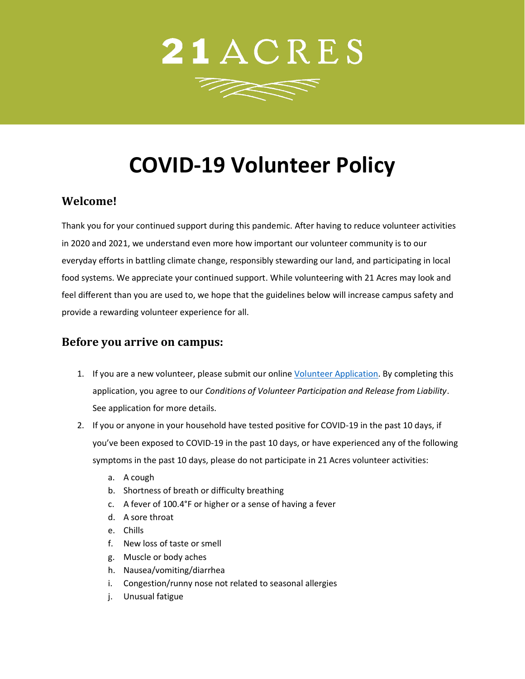

# **COVID-19 Volunteer Policy**

## **Welcome!**

Thank you for your continued support during this pandemic. After having to reduce volunteer activities in 2020 and 2021, we understand even more how important our volunteer community is to our everyday efforts in battling climate change, responsibly stewarding our land, and participating in local food systems. We appreciate your continued support. While volunteering with 21 Acres may look and feel different than you are used to, we hope that the guidelines below will increase campus safety and provide a rewarding volunteer experience for all.

#### **Before you arrive on campus:**

- 1. If you are a new volunteer, please submit our online [Volunteer Application.](https://www.volgistics.com/ex/portal.dll/ap?ap=1058912171) By completing this application, you agree to our *Conditions of Volunteer Participation and Release from Liability*. See application for more details.
- 2. If you or anyone in your household have tested positive for COVID-19 in the past 10 days, if you've been exposed to COVID-19 in the past 10 days, or have experienced any of the following symptoms in the past 10 days, please do not participate in 21 Acres volunteer activities:
	- a. A cough
	- b. Shortness of breath or difficulty breathing
	- c. A fever of 100.4°F or higher or a sense of having a fever
	- d. A sore throat
	- e. Chills
	- f. New loss of taste or smell
	- g. Muscle or body aches
	- h. Nausea/vomiting/diarrhea
	- i. Congestion/runny nose not related to seasonal allergies
	- j. Unusual fatigue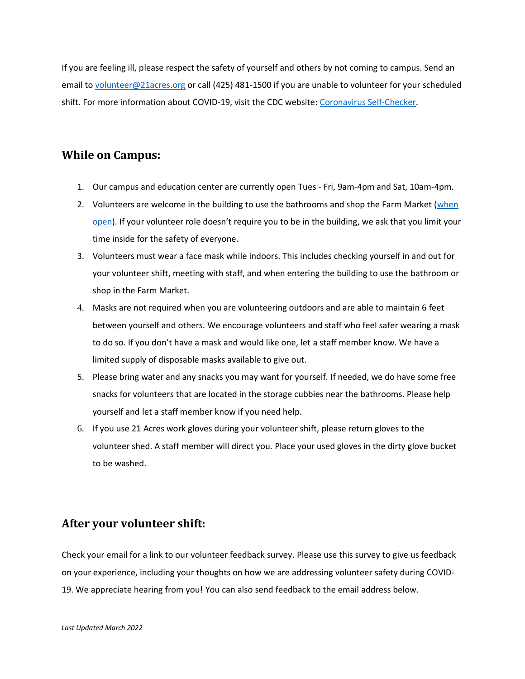If you are feeling ill, please respect the safety of yourself and others by not coming to campus. Send an email to [volunteer@21acres.org](mailto:volunteer@21acres.org) or call (425) 481-1500 if you are unable to volunteer for your scheduled shift. For more information about COVID-19, visit the CDC website: [Coronavirus Self-Checker.](https://www.cdc.gov/coronavirus/2019-ncov/symptoms-testing/coronavirus-self-checker.html?s_cid=ccbot_004#cdc-chat-bot-open)

#### **While on Campus:**

- 1. Our campus and education center are currently open Tues Fri, 9am-4pm and Sat, 10am-4pm.
- 2. Volunteers are welcome in the building to use the bathrooms and shop the Farm Market [\(when](https://21acres.org/farm-market/)  [open\)](https://21acres.org/farm-market/). If your volunteer role doesn't require you to be in the building, we ask that you limit your time inside for the safety of everyone.
- 3. Volunteers must wear a face mask while indoors. This includes checking yourself in and out for your volunteer shift, meeting with staff, and when entering the building to use the bathroom or shop in the Farm Market.
- 4. Masks are not required when you are volunteering outdoors and are able to maintain 6 feet between yourself and others. We encourage volunteers and staff who feel safer wearing a mask to do so. If you don't have a mask and would like one, let a staff member know. We have a limited supply of disposable masks available to give out.
- 5. Please bring water and any snacks you may want for yourself. If needed, we do have some free snacks for volunteers that are located in the storage cubbies near the bathrooms. Please help yourself and let a staff member know if you need help.
- 6. If you use 21 Acres work gloves during your volunteer shift, please return gloves to the volunteer shed. A staff member will direct you. Place your used gloves in the dirty glove bucket to be washed.

#### **After your volunteer shift:**

Check your email for a link to our volunteer feedback survey. Please use this survey to give us feedback on your experience, including your thoughts on how we are addressing volunteer safety during COVID-19. We appreciate hearing from you! You can also send feedback to the email address below.